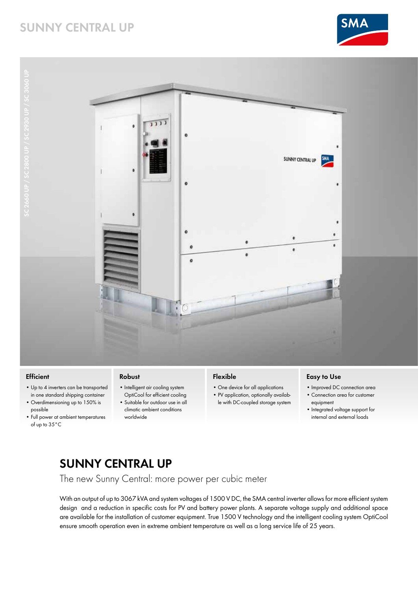# **SUNNY CENTRAL UP**





#### **Efficient**

- Up to 4 inverters can be transported in one standard shipping container
- Overdimensioning up to 150% is possible
- Full power at ambient temperatures of up to 35°C

#### **Robust**

- Intelligent air cooling system OptiCool for efficient cooling • Suitable for outdoor use in all
	- climatic ambient conditions worldwide

## **Flexible**

- One device for all applications
- PV application, optionally available with DC-coupled storage system

### **Easy to Use**

- Improved DC connection area
- Connection area for customer equipment
- Integrated voltage support for internal and external loads

# **SUNNY CENTRAL UP**

The new Sunny Central: more power per cubic meter

With an output of up to 3067 kVA and system voltages of 1500 V DC, the SMA central inverter allows for more efficient system design and a reduction in specific costs for PV and battery power plants. A separate voltage supply and additional space are available for the installation of customer equipment. True 1500 V technology and the intelligent cooling system OptiCool ensure smooth operation even in extreme ambient temperature as well as a long service life of 25 years.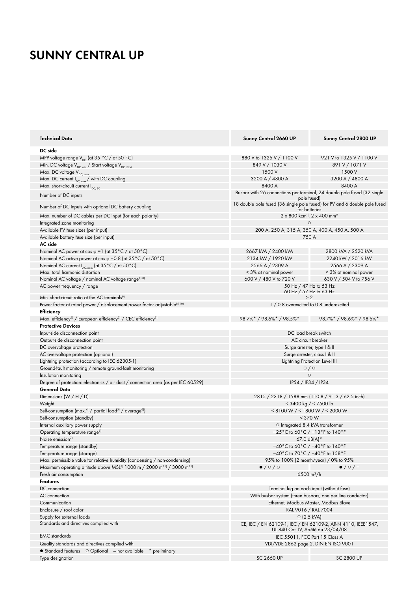# **SUNNY CENTRAL UP**

| <b>Technical Data</b>                                                                                     | Sunny Central 2660 UP                                                                              | Sunny Central 2800 UP        |
|-----------------------------------------------------------------------------------------------------------|----------------------------------------------------------------------------------------------------|------------------------------|
| DC side                                                                                                   |                                                                                                    |                              |
| MPP voltage range $V_{DC}$ (at 35 °C / at 50 °C)                                                          | 880 V to 1325 V / 1100 V                                                                           | 921 V to 1325 V / 1100 V     |
| Min. DC voltage $V_{DC,min}$ / Start voltage $V_{DC, Start}$                                              | 849 V / 1030 V                                                                                     | 891 V / 1071 V               |
| Max. DC voltage V <sub>DC, max</sub>                                                                      | 1500 V                                                                                             | 1500 V                       |
| Max. DC current $I_{DC, max}$ with DC coupling                                                            | 3200 A / 4800 A                                                                                    | 3200 A / 4800 A              |
| Max. short-circuit current $I_{\text{DC-SC}}$                                                             | 8400 A                                                                                             | 8400 A                       |
| Number of DC inputs                                                                                       | Busbar with 26 connections per terminal, 24 double pole fused (32 single<br>pole tused)            |                              |
| Number of DC inputs with optional DC battery coupling                                                     | 18 double pole fused (36 single pole fused) for PV and 6 double pole fused<br>for batteries        |                              |
| Max. number of DC cables per DC input (for each polarity)                                                 | $2 \times 800$ kcmil, $2 \times 400$ mm <sup>2</sup>                                               |                              |
| Integrated zone monitoring                                                                                | $\circ$                                                                                            |                              |
| Available PV fuse sizes (per input)                                                                       | 200 A, 250 A, 315 A, 350 A, 400 A, 450 A, 500 A                                                    |                              |
| Available battery fuse size (per input)                                                                   | 750 A                                                                                              |                              |
| AC side                                                                                                   |                                                                                                    |                              |
| Nominal AC power at $\cos \varphi = 1$ (at 35°C / at 50°C)                                                | 2667 kVA / 2400 kVA                                                                                | 2800 kVA / 2520 kVA          |
| Nominal AC active power at cos $\varphi$ =0.8 (at 35 °C / at 50 °C)                                       | 2134 kW / 1920 kW                                                                                  | 2240 kW / 2016 kW            |
| Nominal AC current $I_{AC, nom}$ (at 35°C / at 50°C)                                                      | 2566 A / 2309 A                                                                                    | 2566 A / 2309 A              |
| Max. total harmonic distortion                                                                            | < 3% at nominal power                                                                              | < 3% at nominal power        |
| Nominal AC voltage / nominal AC voltage range <sup>1) 8)</sup>                                            | 600 V / 480 V to 720 V                                                                             | 630 V / 504 V to 756 V       |
| AC power frequency / range                                                                                | 50 Hz / 47 Hz to 53 Hz<br>60 Hz / 57 Hz to 63 Hz                                                   |                              |
| Min. short-circuit ratio at the AC terminals <sup>9)</sup>                                                | > 2                                                                                                |                              |
| Power factor at rated power / displacement power factor adjustable <sup>8) 10)</sup><br><b>Efficiency</b> | 1 / 0.8 overexcited to 0.8 underexcited                                                            |                              |
| Max. efficiency <sup>2)</sup> / European efficiency <sup>2)</sup> / CEC efficiency <sup>3)</sup>          | 98.7%* / 98.6%* / 98.5%*                                                                           | $98.7\%$ * / 98.6%* / 98.5%* |
| <b>Protective Devices</b>                                                                                 |                                                                                                    |                              |
| Input-side disconnection point                                                                            | DC load break switch                                                                               |                              |
| Output-side disconnection point                                                                           | AC circuit breaker                                                                                 |                              |
| DC overvoltage protection                                                                                 | Surge arrester, type I & II                                                                        |                              |
| AC overvoltage protection (optional)                                                                      | Surge arrester, class I & II                                                                       |                              |
| Lightning protection (according to IEC 62305-1)                                                           | Lightning Protection Level III                                                                     |                              |
| Ground-fault monitoring / remote ground-fault monitoring                                                  | $\circ$ / $\circ$                                                                                  |                              |
| Insulation monitoring                                                                                     | $\circ$                                                                                            |                              |
| Degree of protection: electronics / air duct / connection area (as per IEC 60529)                         | IP54 / IP34 / IP34                                                                                 |                              |
| General Data                                                                                              |                                                                                                    |                              |
| Dimensions $(W/H/D)$                                                                                      | 2815 / 2318 / 1588 mm (110.8 / 91.3 / 62.5 inch)                                                   |                              |
| Weight                                                                                                    | $<$ 3400 kg / $<$ 7500 lb                                                                          |                              |
| Self-consumption (max. <sup>4)</sup> / partial load <sup>5)</sup> / average <sup>6)</sup>                 | < 8100 W / < 1800 W / < 2000 W                                                                     |                              |
| Self-consumption (standby)                                                                                | < 370 W                                                                                            |                              |
| Internal auxiliary power supply                                                                           | ○ Integrated 8.4 kVA transformer                                                                   |                              |
| Operating temperature range <sup>8)</sup>                                                                 | $-25\degree$ C to 60 $\degree$ C / $-13\degree$ F to 140 $\degree$ F                               |                              |
| Noise emission <sup>71</sup>                                                                              | $67.0 \text{ dB(A)}^*$                                                                             |                              |
| Temperature range (standby)                                                                               | $-40^{\circ}$ C to 60 $^{\circ}$ C / $-40^{\circ}$ F to 140 $^{\circ}$ F                           |                              |
| Temperature range (storage)                                                                               | $-40\degree$ C to 70 $\degree$ C / $-40\degree$ F to 158 $\degree$ F                               |                              |
| Max. permissible value for relative humidity (condensing / non-condensing)                                | 95% to 100% (2 month/year) / 0% to 95%                                                             |                              |
| Maximum operating altitude above MSL <sup>8)</sup> 1000 m / 2000 m <sup>11</sup> ) / 3000 m <sup>11</sup> | $\bullet$ /0/0                                                                                     | $\bullet$ / $\circ$ / -      |
| Fresh air consumption                                                                                     | 6500 $\rm m^3/h$                                                                                   |                              |
| <b>Features</b>                                                                                           |                                                                                                    |                              |
| DC connection                                                                                             | Terminal lug on each input (without fuse)                                                          |                              |
| AC connection                                                                                             | With busbar system (three busbars, one per line conductor)                                         |                              |
| Communication                                                                                             | Ethernet, Modbus Master, Modbus Slave                                                              |                              |
| Enclosure / roof color                                                                                    | RAL 9016 / RAL 7004                                                                                |                              |
| Supply for external loads                                                                                 | $\circ$ (2.5 kVA)                                                                                  |                              |
| Standards and directives complied with                                                                    | CE, IEC / EN 62109-1, IEC / EN 62109-2, AR-N 4110, IEEE1547,<br>UL 840 Cat. IV, Arrêté du 23/04/08 |                              |
| <b>EMC</b> standards                                                                                      |                                                                                                    |                              |
| Quality standards and directives complied with                                                            | IEC 55011, FCC Part 15 Class A<br>VDI/VDE 2862 page 2, DIN EN ISO 9001                             |                              |
|                                                                                                           |                                                                                                    |                              |
| $\bullet$ Standard features $\circ$ Optional $-$ not available<br>* preliminary<br>Type designation       | <b>SC 2660 UP</b>                                                                                  | <b>SC 2800 UP</b>            |
|                                                                                                           |                                                                                                    |                              |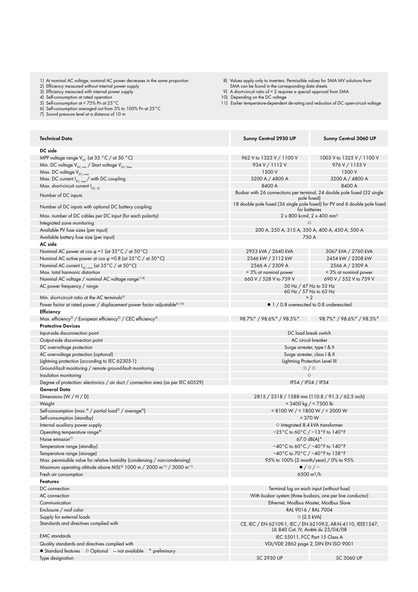- 1) At nominal AC voltage, nominal AC power decreases in the same proportion
- 2) Efficiency measured without internal power supply
- 3) Efficiency measured with internal power supply
- 4) Self-consumption at rated operation
- 5) Self-consumption at < 75% Pn at 25°C
- 6) Self-consumption averaged out from 5% to 100% Pn at 25°C
- 7) Sound pressure level at a distance of 10 m
- 8) Values apply only to inverters. Permissible values for SMA MV solutions from
- SMA can be found in the corresponding data sheets. 9) A short-circuit ratio of < 2 requires a special approval from SMA
- 
- 10) Depending on the DC voltage
- 11) Earlier temperature-dependent de-rating and reduction of DC open-circuit voltage

| Technical Data                                                                                            | Sunny Central 2930 UP                                                                                      | Sunny Central 3060 UP        |
|-----------------------------------------------------------------------------------------------------------|------------------------------------------------------------------------------------------------------------|------------------------------|
| DC side                                                                                                   |                                                                                                            |                              |
| MPP voltage range $V_{DC}$ (at 35 °C / at 50 °C)                                                          | 962 V to 1325 V / 1100 V                                                                                   | 1003 V to 1325 V / 1100 V    |
| Min. DC voltage $V_{DC,min}$ / Start voltage $V_{DC, Start}$                                              | 934 V / 1112 V                                                                                             | 976 V / 1153 V               |
| Max. DC voltage V <sub>DC, max</sub>                                                                      | 1500 V                                                                                                     | 1500 V                       |
| Max. DC current $I_{DC,max}$ with DC coupling                                                             | 3200 A / 4800 A                                                                                            | 3200 A / 4800 A              |
| Max. short-circuit current $I_{\text{DC-SC}}$                                                             | 8400 A                                                                                                     | 8400 A                       |
| Number of DC inputs                                                                                       | Busbar with 26 connections per terminal, 24 double pole fused (32 single                                   |                              |
| Number of DC inputs with optional DC battery coupling                                                     | pole tused)<br>18 double pole fused (36 single pole fused) for PV and 6 double pole fused<br>for batteries |                              |
| Max. number of DC cables per DC input (for each polarity)                                                 | 2 x 800 kcmil, 2 x 400 mm <sup>2</sup>                                                                     |                              |
| Integrated zone monitoring                                                                                | O                                                                                                          |                              |
| Available PV fuse sizes (per input)                                                                       | 200 A, 250 A, 315 A, 350 A, 400 A, 450 A, 500 A                                                            |                              |
| Available battery fuse size (per input)                                                                   | 750 A                                                                                                      |                              |
| AC side                                                                                                   |                                                                                                            |                              |
| Nominal AC power at cos $\varphi$ = 1 (at 35 °C / at 50 °C)                                               | 2933 kVA / 2640 kVA                                                                                        | 3067 kVA / 2760 kVA          |
| Nominal AC active power at cos $\varphi$ =0.8 (at 35°C / at 50°C)                                         | 2346 kW / 2112 kW                                                                                          | 2454 kW / 2208 kW            |
| Nominal AC current $I_{AC, nom}$ (at 35°C / at 50°C)                                                      | 2566 A / 2309 A                                                                                            | 2566 A / 2309 A              |
| Max. total harmonic distortion                                                                            | < 3% at nominal power                                                                                      | < 3% at nominal power        |
| Nominal AC voltage / nominal AC voltage range <sup>1) 8)</sup>                                            | 660 V / 528 V to 759 V                                                                                     | 690 V / 552 V to 759 V       |
| AC power frequency / range                                                                                | 50 Hz / 47 Hz to 53 Hz                                                                                     |                              |
| Min. short-circuit ratio at the AC terminals <sup>9)</sup>                                                | 60 Hz / 57 Hz to 63 Hz<br>> 2                                                                              |                              |
| Power factor at rated power / displacement power factor adjustable <sup>8) 10)</sup>                      | • 1 / 0.8 overexcited to 0.8 underexcited                                                                  |                              |
| Efficiency                                                                                                |                                                                                                            |                              |
| Max. efficiency <sup>2)</sup> / European efficiency <sup>2)</sup> / CEC efficiency <sup>3)</sup>          | 98.7%* / 98.6%* / 98.5%*                                                                                   | $98.7\%$ * / 98.6%* / 98.5%* |
| <b>Protective Devices</b>                                                                                 |                                                                                                            |                              |
| Input-side disconnection point                                                                            | DC load break switch                                                                                       |                              |
| Output-side disconnection point                                                                           | AC circuit breaker                                                                                         |                              |
| DC overvoltage protection                                                                                 | Surge arrester, type I & II                                                                                |                              |
| AC overvoltage protection (optional)                                                                      | Surge arrester, class I & II                                                                               |                              |
| Lightning protection (according to IEC 62305-1)                                                           | Lightning Protection Level III                                                                             |                              |
| Ground-fault monitoring / remote ground-fault monitoring                                                  | $\circ$ / $\circ$                                                                                          |                              |
| Insulation monitoring                                                                                     | $\circ$                                                                                                    |                              |
| Degree of protection: electronics / air duct / connection area (as per IEC 60529)                         | IP54 / IP34 / IP34                                                                                         |                              |
| General Data                                                                                              |                                                                                                            |                              |
| Dimensions $(W/H/D)$                                                                                      | 2815 / 2318 / 1588 mm (110.8 / 91.3 / 62.5 inch)                                                           |                              |
| Weight                                                                                                    | $<$ 3400 kg / $<$ 7500 lb                                                                                  |                              |
| Self-consumption (max. <sup>4)</sup> / partial load <sup>5)</sup> / average <sup>6)</sup>                 | <8100 W / <1800 W / < 2000 W                                                                               |                              |
| Self-consumption (standby)                                                                                | < 370 W                                                                                                    |                              |
| Internal auxiliary power supply                                                                           | $\circ$ Integrated 8.4 kVA transformer                                                                     |                              |
| Operating temperature range <sup>8)</sup>                                                                 | $-25\degree$ C to 60 $\degree$ C / $-13\degree$ F to 140 $\degree$ F                                       |                              |
| Noise emission <sup>7)</sup>                                                                              | $67.0 \text{ dB}(A)^*$                                                                                     |                              |
| Temperature range (standby)                                                                               | $-40^{\circ}$ C to 60 $^{\circ}$ C / $-40^{\circ}$ F to 140 $^{\circ}$ F                                   |                              |
| Temperature range (storage)                                                                               | $-40\degree$ C to 70 $\degree$ C / $-40\degree$ F to 158 $\degree$ F                                       |                              |
| Max. permissible value for relative humidity (condensing / non-condensing)                                | 95% to 100% (2 month/year) / 0% to 95%                                                                     |                              |
| Maximum operating altitude above MSL <sup>8)</sup> 1000 m / 2000 m <sup>11</sup> / 3000 m <sup>11</sup> ) | $\bullet$ / $\circ$ / -                                                                                    |                              |
| Fresh air consumption                                                                                     | 6500 $\rm m^3/h$                                                                                           |                              |
| Features                                                                                                  |                                                                                                            |                              |
| DC connection                                                                                             | Terminal lug on each input (without fuse)                                                                  |                              |
| AC connection                                                                                             | With busbar system (three busbars, one per line conductor)                                                 |                              |
| Communication                                                                                             | Ethernet, Modbus Master, Modbus Slave                                                                      |                              |
| Enclosure / roof color                                                                                    | RAL 9016 / RAL 7004                                                                                        |                              |
| Supply for external loads                                                                                 | $\circ$ (2.5 kVA)                                                                                          |                              |
| Standards and directives complied with                                                                    | CE, IEC / EN 62109-1, IEC / EN 62109-2, AR-N 4110, IEEE1547,<br>UL 840 Cat. IV, Arrêté du 23/04/08         |                              |
| <b>EMC</b> standards                                                                                      | IEC 55011, FCC Part 15 Class A                                                                             |                              |
| Quality standards and directives complied with                                                            | VDI/VDE 2862 page 2, DIN EN ISO 9001                                                                       |                              |
| $\bullet$ Standard features $\circ$ Optional $-$ not available<br>* preliminary                           |                                                                                                            |                              |
| Type designation                                                                                          | <b>SC 2930 UP</b>                                                                                          | SC 3060 UP                   |
|                                                                                                           |                                                                                                            |                              |